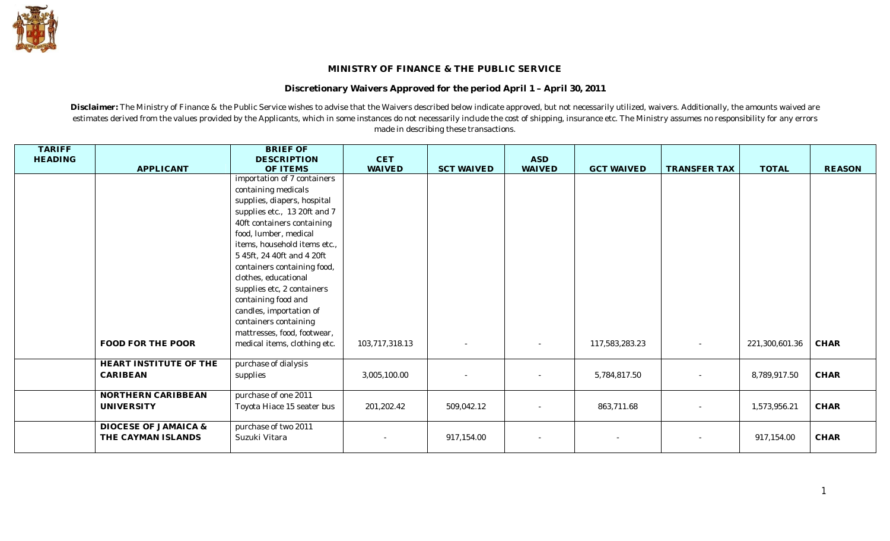

## **MINISTRY OF FINANCE & THE PUBLIC SERVICE**

**Discretionary Waivers Approved for the period April 1 – April 30, 2011**

**Disclaimer:** The Ministry of Finance & the Public Service wishes to advise that the Waivers described below indicate approved, but not necessarily utilized, waivers. Additionally, the amounts waived are estimates derived from the values provided by the Applicants, which in some instances do not necessarily include the cost of shipping, insurance etc. The Ministry assumes no responsibility for any errors made in describing these transactions.

| <b>TARIFF</b><br><b>HEADING</b> | <b>APPLICANT</b>       | <b>BRIEF OF</b><br><b>DESCRIPTION</b><br>OF ITEMS | $\operatorname{CET}$<br><b>WAIVED</b> | <b>SCT WAIVED</b> | <b>ASD</b><br><b>WAIVED</b> | <b>GCT WAIVED</b> | <b>TRANSFER TAX</b> | <b>TOTAL</b>   | <b>REASON</b> |
|---------------------------------|------------------------|---------------------------------------------------|---------------------------------------|-------------------|-----------------------------|-------------------|---------------------|----------------|---------------|
|                                 |                        | importation of 7 containers                       |                                       |                   |                             |                   |                     |                |               |
|                                 |                        | containing medicals                               |                                       |                   |                             |                   |                     |                |               |
|                                 |                        | supplies, diapers, hospital                       |                                       |                   |                             |                   |                     |                |               |
|                                 |                        | supplies etc., 13 20ft and 7                      |                                       |                   |                             |                   |                     |                |               |
|                                 |                        | 40ft containers containing                        |                                       |                   |                             |                   |                     |                |               |
|                                 |                        | food, lumber, medical                             |                                       |                   |                             |                   |                     |                |               |
|                                 |                        | items, household items etc.,                      |                                       |                   |                             |                   |                     |                |               |
|                                 |                        | 5 45ft, 24 40ft and 4 20ft                        |                                       |                   |                             |                   |                     |                |               |
|                                 |                        | containers containing food,                       |                                       |                   |                             |                   |                     |                |               |
|                                 |                        | clothes, educational                              |                                       |                   |                             |                   |                     |                |               |
|                                 |                        | supplies etc, 2 containers                        |                                       |                   |                             |                   |                     |                |               |
|                                 |                        | containing food and                               |                                       |                   |                             |                   |                     |                |               |
|                                 |                        | candles, importation of                           |                                       |                   |                             |                   |                     |                |               |
|                                 |                        | containers containing                             |                                       |                   |                             |                   |                     |                |               |
|                                 |                        | mattresses, food, footwear,                       |                                       |                   |                             |                   |                     |                |               |
|                                 | FOOD FOR THE POOR      | medical items, clothing etc.                      | 103,717,318.13                        |                   |                             | 117,583,283.23    | $\sim$              | 221,300,601.36 | <b>CHAR</b>   |
|                                 | HEART INSTITUTE OF THE | purchase of dialysis                              |                                       |                   |                             |                   |                     |                |               |
|                                 | <b>CARIBEAN</b>        | supplies                                          | 3,005,100.00                          |                   |                             | 5,784,817.50      |                     | 8,789,917.50   | $\rm CHAR$    |
|                                 |                        |                                                   |                                       |                   |                             |                   |                     |                |               |
|                                 | NORTHERN CARIBBEAN     | purchase of one 2011                              |                                       |                   |                             |                   |                     |                |               |
|                                 | <b>UNIVERSITY</b>      | Toyota Hiace 15 seater bus                        | 201,202.42                            | 509,042.12        |                             | 863,711.68        |                     | 1,573,956.21   | CHAR          |
|                                 | DIOCESE OF JAMAICA &   | purchase of two 2011                              |                                       |                   |                             |                   |                     |                |               |
|                                 | THE CAYMAN ISLANDS     | Suzuki Vitara                                     |                                       | 917,154.00        |                             |                   | $\sim$              | 917,154.00     | CHAR          |
|                                 |                        |                                                   |                                       |                   |                             |                   |                     |                |               |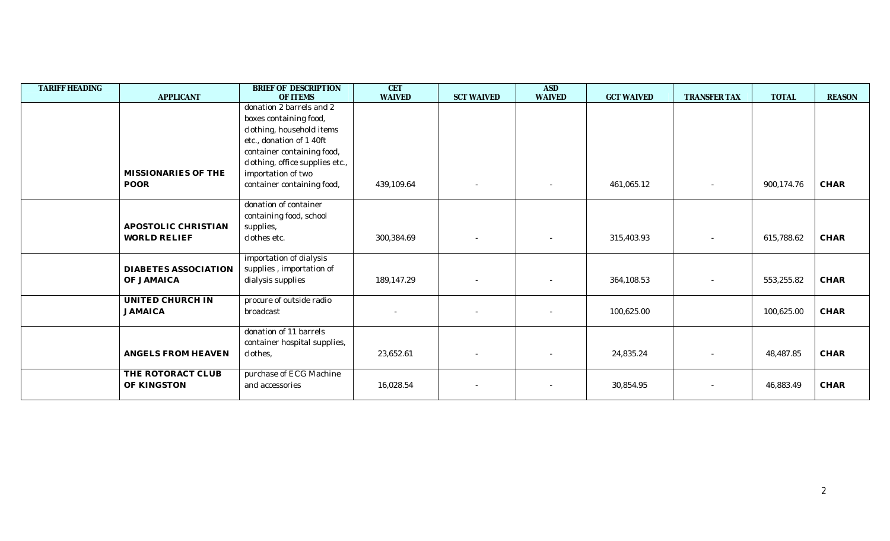| <b>TARIFF HEADING</b> |                             | BRIEF OF DESCRIPTION            | <b>CET</b>    |                   | <b>ASD</b>    |                   |                          |              |               |
|-----------------------|-----------------------------|---------------------------------|---------------|-------------------|---------------|-------------------|--------------------------|--------------|---------------|
|                       | <b>APPLICANT</b>            | OF ITEMS                        | <b>WAIVED</b> | <b>SCT WAIVED</b> | <b>WAIVED</b> | <b>GCT WAIVED</b> | <b>TRANSFER TAX</b>      | <b>TOTAL</b> | <b>REASON</b> |
|                       |                             | donation 2 barrels and 2        |               |                   |               |                   |                          |              |               |
|                       |                             | boxes containing food,          |               |                   |               |                   |                          |              |               |
|                       |                             | clothing, household items       |               |                   |               |                   |                          |              |               |
|                       |                             | etc., donation of 1 40ft        |               |                   |               |                   |                          |              |               |
|                       |                             | container containing food,      |               |                   |               |                   |                          |              |               |
|                       |                             | clothing, office supplies etc., |               |                   |               |                   |                          |              |               |
|                       | MISSIONARIES OF THE         | importation of two              |               |                   |               |                   |                          |              |               |
|                       | <b>POOR</b>                 | container containing food,      | 439,109.64    |                   |               | 461,065.12        |                          | 900,174.76   | <b>CHAR</b>   |
|                       |                             |                                 |               |                   |               |                   |                          |              |               |
|                       |                             | donation of container           |               |                   |               |                   |                          |              |               |
|                       |                             | containing food, school         |               |                   |               |                   |                          |              |               |
|                       | APOSTOLIC CHRISTIAN         | supplies,                       |               |                   |               |                   |                          |              |               |
|                       | <b>WORLD RELIEF</b>         | clothes etc.                    | 300,384.69    |                   |               | 315,403.93        |                          | 615,788.62   | <b>CHAR</b>   |
|                       |                             |                                 |               |                   |               |                   |                          |              |               |
|                       |                             | importation of dialysis         |               |                   |               |                   |                          |              |               |
|                       | <b>DIABETES ASSOCIATION</b> | supplies, importation of        |               |                   |               |                   |                          |              |               |
|                       | OF JAMAICA                  | dialysis supplies               | 189,147.29    |                   |               | 364,108.53        |                          | 553,255.82   | <b>CHAR</b>   |
|                       |                             |                                 |               |                   |               |                   |                          |              |               |
|                       | UNITED CHURCH IN            | procure of outside radio        |               |                   |               |                   |                          |              |               |
|                       | <b>JAMAICA</b>              | broadcast                       |               |                   |               | 100,625.00        |                          | 100,625.00   | CHAR          |
|                       |                             |                                 |               |                   |               |                   |                          |              |               |
|                       |                             | donation of 11 barrels          |               |                   |               |                   |                          |              |               |
|                       |                             | container hospital supplies,    |               |                   |               |                   |                          |              |               |
|                       | <b>ANGELS FROM HEAVEN</b>   | clothes,                        | 23,652.61     |                   |               | 24,835.24         |                          | 48,487.85    | CHAR          |
|                       |                             |                                 |               |                   |               |                   |                          |              |               |
|                       | THE ROTORACT CLUB           | purchase of ECG Machine         |               |                   |               |                   |                          |              |               |
|                       | OF KINGSTON                 | and accessories                 | 16,028.54     |                   |               | 30,854.95         | $\overline{\phantom{a}}$ | 46,883.49    | CHAR          |
|                       |                             |                                 |               |                   |               |                   |                          |              |               |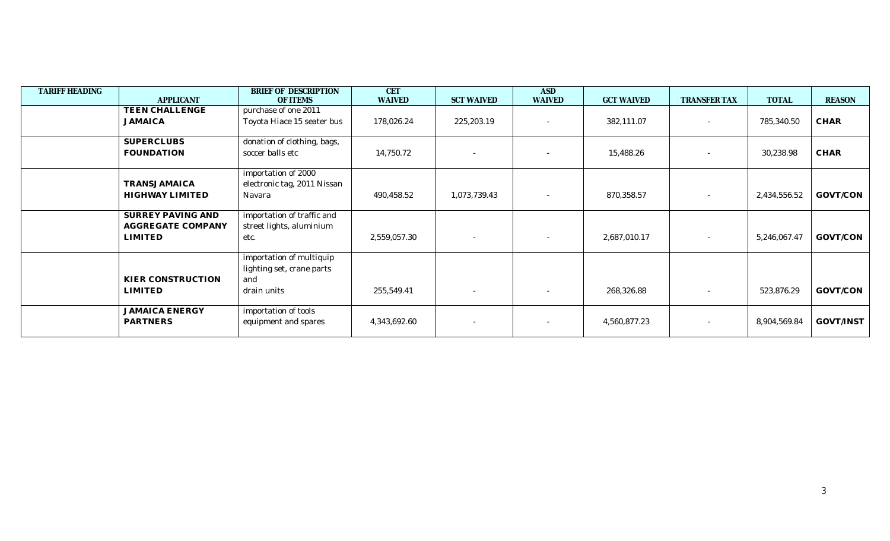| <b>TARIFF HEADING</b> | <b>APPLICANT</b>                                                | <b>BRIEF OF DESCRIPTION</b><br><b>OF ITEMS</b>                              | <b>CET</b><br><b>WAIVED</b> | <b>SCT WAIVED</b>        | <b>ASD</b><br><b>WAIVED</b> | <b>GCT WAIVED</b> | TRANSFER TAX             | <b>TOTAL</b> | <b>REASON</b>    |
|-----------------------|-----------------------------------------------------------------|-----------------------------------------------------------------------------|-----------------------------|--------------------------|-----------------------------|-------------------|--------------------------|--------------|------------------|
|                       | TEEN CHALLENGE<br><b>JAMAICA</b>                                | purchase of one 2011<br>Toyota Hiace 15 seater bus                          | 178,026.24                  | 225,203.19               | $\overline{\phantom{a}}$    | 382,111.07        |                          | 785,340.50   | <b>CHAR</b>      |
|                       | <b>SUPERCLUBS</b><br><b>FOUNDATION</b>                          | donation of clothing, bags,<br>soccer balls etc                             | 14,750.72                   |                          | ۰                           | 15,488.26         |                          | 30,238.98    | CHAR             |
|                       | TRANSJAMAICA<br>HIGHWAY LIMITED                                 | importation of 2000<br>electronic tag, 2011 Nissan<br>Navara                | 490,458.52                  | 1,073,739.43             | $\overline{\phantom{a}}$    | 870,358.57        |                          | 2,434,556.52 | GOVT/CON         |
|                       | SURREY PAVING AND<br><b>AGGREGATE COMPANY</b><br><b>LIMITED</b> | importation of traffic and<br>street lights, aluminium<br>etc.              | 2,559,057.30                | ٠                        | $\overline{\phantom{a}}$    | 2,687,010.17      | $\overline{\phantom{a}}$ | 5,246,067.47 | GOVT/CON         |
|                       | KIER CONSTRUCTION<br><b>LIMITED</b>                             | importation of multiquip<br>lighting set, crane parts<br>and<br>drain units | 255,549.41                  | $\overline{\phantom{a}}$ | $\overline{\phantom{a}}$    | 268,326.88        |                          | 523,876.29   | GOVT/CON         |
|                       | <b>JAMAICA ENERGY</b><br>PARTNERS                               | importation of tools<br>equipment and spares                                | 4,343,692.60                |                          | $\overline{\phantom{a}}$    | 4,560,877.23      |                          | 8,904,569.84 | <b>GOVT/INST</b> |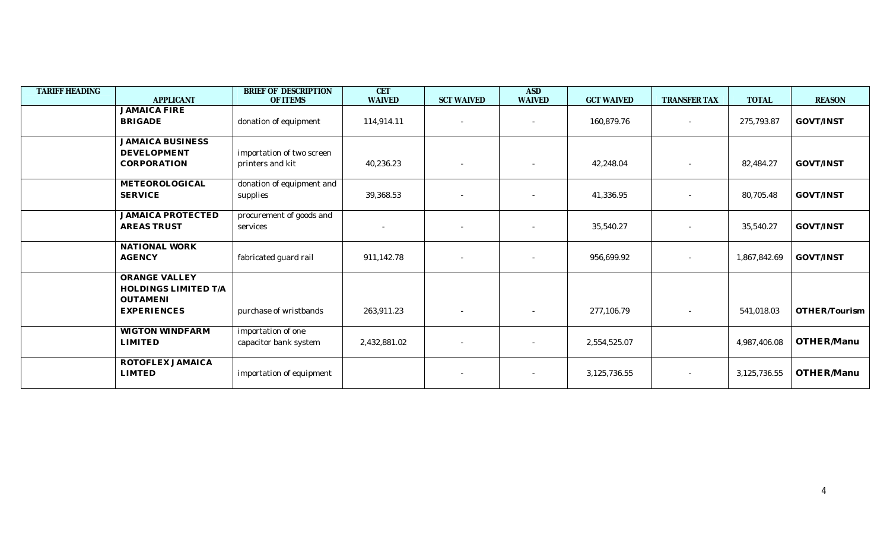| TARIFF HEADING | <b>APPLICANT</b>                                                                      | BRIEF OF DESCRIPTION<br>OF ITEMS              | <b>CET</b><br><b>WAIVED</b> | <b>SCT WAIVED</b>        | <b>ASD</b><br><b>WAIVED</b> | <b>GCT WAIVED</b> | TRANSFER TAX | <b>TOTAL</b> | <b>REASON</b>    |
|----------------|---------------------------------------------------------------------------------------|-----------------------------------------------|-----------------------------|--------------------------|-----------------------------|-------------------|--------------|--------------|------------------|
|                | <b>JAMAICA FIRE</b><br><b>BRIGADE</b>                                                 | donation of equipment                         | 114,914.11                  | $\overline{\phantom{a}}$ | $\overline{\phantom{a}}$    | 160,879.76        | $\sim$       | 275,793.87   | GOVT/INST        |
|                | <b>JAMAICA BUSINESS</b><br><b>DEVELOPMENT</b><br>CORPORATION                          | importation of two screen<br>printers and kit | 40,236.23                   | $\overline{\phantom{a}}$ |                             | 42,248.04         |              | 82,484.27    | <b>GOVT/INST</b> |
|                | METEOROLOGICAL<br><b>SERVICE</b>                                                      | donation of equipment and<br>supplies         | 39,368.53                   |                          |                             | 41,336.95         |              | 80,705.48    | GOVT/INST        |
|                | <b>JAMAICA PROTECTED</b><br><b>AREAS TRUST</b>                                        | procurement of goods and<br>services          |                             | $\overline{\phantom{a}}$ |                             | 35,540.27         |              | 35,540.27    | GOVT/INST        |
|                | NATIONAL WORK<br><b>AGENCY</b>                                                        | fabricated guard rail                         | 911,142.78                  | $\overline{\phantom{a}}$ |                             | 956,699.92        |              | 1,867,842.69 | GOVT/INST        |
|                | <b>ORANGE VALLEY</b><br>HOLDINGS LIMITED T/A<br><b>OUTAMENI</b><br><b>EXPERIENCES</b> | purchase of wristbands                        | 263,911.23                  | $\overline{\phantom{a}}$ | $\overline{\phantom{a}}$    | 277,106.79        | $\sim$       | 541,018.03   | OTHER/Tourism    |
|                | <b>WIGTON WINDFARM</b><br><b>LIMITED</b>                                              | importation of one<br>capacitor bank system   | 2,432,881.02                | $\sim$                   |                             | 2,554,525.07      |              | 4,987,406.08 | OTHER/Manu       |
|                | ROTOFLEX JAMAICA<br><b>LIMTED</b>                                                     | importation of equipment                      |                             | $\sim$                   | $\overline{\phantom{a}}$    | 3,125,736.55      |              | 3,125,736.55 | OTHER/Manu       |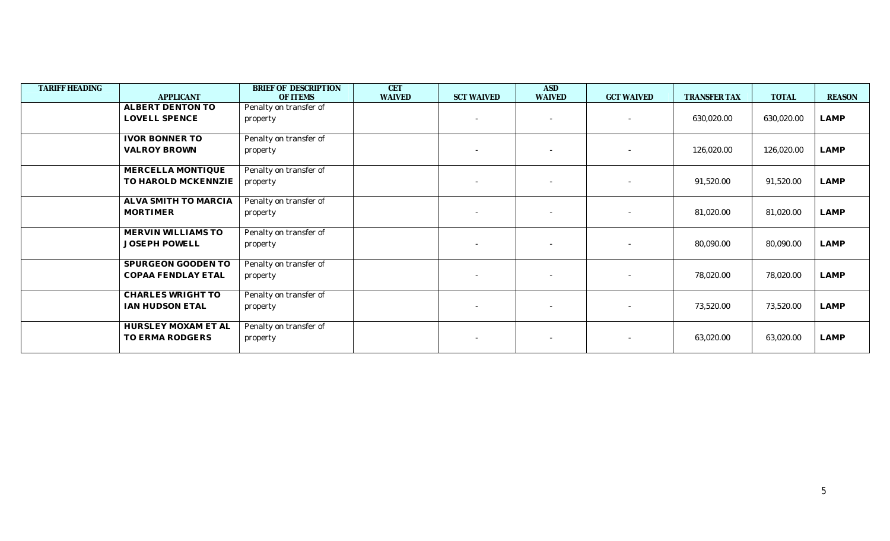| <b>TARIFF HEADING</b> |                         | BRIEF OF DESCRIPTION   | <b>CET</b>    |                          | <b>ASD</b>               |                          |              |              |               |
|-----------------------|-------------------------|------------------------|---------------|--------------------------|--------------------------|--------------------------|--------------|--------------|---------------|
|                       | <b>APPLICANT</b>        | OF ITEMS               | <b>WAIVED</b> | <b>SCT WAIVED</b>        | <b>WAIVED</b>            | <b>GCT WAIVED</b>        | TRANSFER TAX | <b>TOTAL</b> | <b>REASON</b> |
|                       | <b>ALBERT DENTON TO</b> | Penalty on transfer of |               |                          |                          |                          |              |              |               |
|                       | LOVELL SPENCE           | property               |               | $\sim$                   | $\sim$                   | $\sim$                   | 630,020.00   | 630,020.00   | LAMP          |
|                       |                         |                        |               |                          |                          |                          |              |              |               |
|                       | <b>IVOR BONNER TO</b>   | Penalty on transfer of |               |                          |                          |                          |              |              |               |
|                       | <b>VALROY BROWN</b>     | property               |               | $\overline{\phantom{a}}$ | $\sim$                   | $\sim$                   | 126,020.00   | 126,020.00   | LAMP          |
|                       |                         |                        |               |                          |                          |                          |              |              |               |
|                       | MERCELLA MONTIQUE       | Penalty on transfer of |               |                          |                          |                          |              |              |               |
|                       | TO HAROLD MCKENNZIE     | property               |               |                          |                          | $\sim$                   | 91,520.00    | 91,520.00    | LAMP          |
|                       |                         |                        |               |                          |                          |                          |              |              |               |
|                       | ALVA SMITH TO MARCIA    | Penalty on transfer of |               |                          |                          |                          |              |              |               |
|                       | MORTIMER                | property               |               |                          | $\overline{\phantom{a}}$ | $\overline{\phantom{a}}$ | 81,020.00    | 81,020.00    | LAMP          |
|                       |                         |                        |               |                          |                          |                          |              |              |               |
|                       | MERVIN WILLIAMS TO      | Penalty on transfer of |               |                          |                          |                          |              |              |               |
|                       | <b>JOSEPH POWELL</b>    | property               |               |                          |                          |                          | 80,090.00    | 80,090.00    | LAMP          |
|                       |                         |                        |               |                          |                          |                          |              |              |               |
|                       | SPURGEON GOODEN TO      | Penalty on transfer of |               |                          |                          |                          |              |              |               |
|                       | COPAA FENDLAY ETAL      | property               |               | $\sim$                   | $\sim$                   | $\overline{\phantom{a}}$ | 78,020.00    | 78,020.00    | LAMP          |
|                       |                         |                        |               |                          |                          |                          |              |              |               |
|                       | CHARLES WRIGHT TO       | Penalty on transfer of |               |                          |                          |                          |              |              |               |
|                       | IAN HUDSON ETAL         | property               |               | $\overline{\phantom{a}}$ |                          | $\sim$                   | 73,520.00    | 73,520.00    | LAMP          |
|                       |                         |                        |               |                          |                          |                          |              |              |               |
|                       | HURSLEY MOXAM ET AL     | Penalty on transfer of |               |                          |                          |                          |              |              |               |
|                       | TO ERMA RODGERS         | property               |               |                          |                          |                          | 63,020.00    | 63,020.00    | LAMP          |
|                       |                         |                        |               |                          |                          |                          |              |              |               |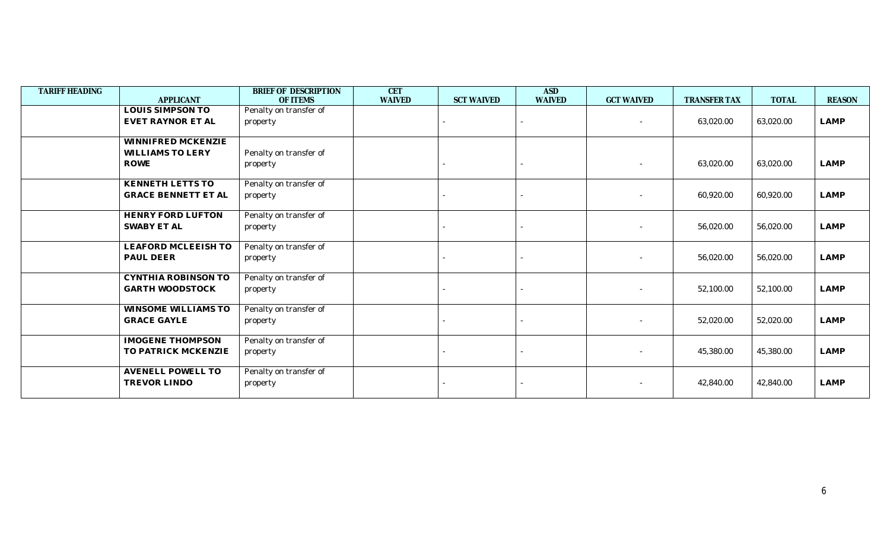| <b>TARIFF HEADING</b> |                            | BRIEF OF DESCRIPTION   | <b>CET</b>    |                   | <b>ASD</b>    |                   |                     |              |               |
|-----------------------|----------------------------|------------------------|---------------|-------------------|---------------|-------------------|---------------------|--------------|---------------|
|                       | <b>APPLICANT</b>           | OF ITEMS               | <b>WAIVED</b> | <b>SCT WAIVED</b> | <b>WAIVED</b> | <b>GCT WAIVED</b> | <b>TRANSFER TAX</b> | <b>TOTAL</b> | <b>REASON</b> |
|                       | <b>LOUIS SIMPSON TO</b>    | Penalty on transfer of |               |                   |               |                   |                     |              |               |
|                       | EVET RAYNOR ET AL          | property               |               |                   |               | $\sim$            | 63,020.00           | 63,020.00    | <b>LAMP</b>   |
|                       |                            |                        |               |                   |               |                   |                     |              |               |
|                       | WINNIFRED MCKENZIE         |                        |               |                   |               |                   |                     |              |               |
|                       | <b>WILLIAMS TO LERY</b>    | Penalty on transfer of |               |                   |               |                   |                     |              |               |
|                       | <b>ROWE</b>                | property               |               |                   |               |                   | 63,020.00           | 63,020.00    | <b>LAMP</b>   |
|                       |                            |                        |               |                   |               |                   |                     |              |               |
|                       | KENNETH LETTS TO           | Penalty on transfer of |               |                   |               |                   |                     |              |               |
|                       | <b>GRACE BENNETT ET AL</b> | property               |               |                   |               |                   | 60,920.00           | 60,920.00    | <b>LAMP</b>   |
|                       |                            |                        |               |                   |               |                   |                     |              |               |
|                       | <b>HENRY FORD LUFTON</b>   | Penalty on transfer of |               |                   |               |                   |                     |              |               |
|                       | <b>SWABY ET AL</b>         | property               |               |                   |               |                   | 56,020.00           | 56,020.00    | LAMP          |
|                       |                            |                        |               |                   |               |                   |                     |              |               |
|                       | LEAFORD MCLEEISH TO        | Penalty on transfer of |               |                   |               |                   |                     |              |               |
|                       | PAUL DEER                  | property               |               |                   |               |                   | 56,020.00           | 56,020.00    | LAMP          |
|                       |                            |                        |               |                   |               |                   |                     |              |               |
|                       | CYNTHIA ROBINSON TO        | Penalty on transfer of |               |                   |               |                   |                     |              |               |
|                       | <b>GARTH WOODSTOCK</b>     | property               |               |                   |               |                   | 52,100.00           | 52,100.00    | <b>LAMP</b>   |
|                       |                            |                        |               |                   |               |                   |                     |              |               |
|                       | <b>WINSOME WILLIAMS TO</b> | Penalty on transfer of |               |                   |               |                   |                     |              |               |
|                       | <b>GRACE GAYLE</b>         | property               |               |                   |               |                   | 52,020.00           | 52,020.00    | <b>LAMP</b>   |
|                       |                            |                        |               |                   |               |                   |                     |              |               |
|                       | <b>IMOGENE THOMPSON</b>    | Penalty on transfer of |               |                   |               |                   |                     |              |               |
|                       | TO PATRICK MCKENZIE        | property               |               |                   |               |                   | 45,380.00           | 45,380.00    | <b>LAMP</b>   |
|                       |                            |                        |               |                   |               |                   |                     |              |               |
|                       | <b>AVENELL POWELL TO</b>   | Penalty on transfer of |               |                   |               |                   |                     |              |               |
|                       | TREVOR LINDO               | property               |               |                   |               |                   | 42,840.00           | 42,840.00    | LAMP          |
|                       |                            |                        |               |                   |               |                   |                     |              |               |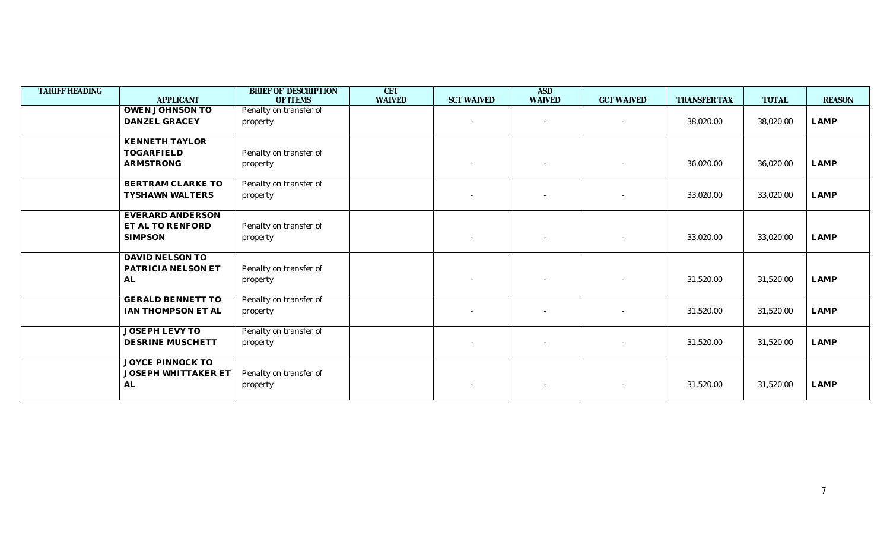| TARIFF HEADING | <b>APPLICANT</b>           | BRIEF OF DESCRIPTION<br>OF ITEMS | <b>CET</b><br><b>WAIVED</b> | <b>SCT WAIVED</b>        | <b>ASD</b><br><b>WAIVED</b> | <b>GCT WAIVED</b>        | <b>TRANSFER TAX</b> | <b>TOTAL</b> | <b>REASON</b> |
|----------------|----------------------------|----------------------------------|-----------------------------|--------------------------|-----------------------------|--------------------------|---------------------|--------------|---------------|
|                | <b>OWEN JOHNSON TO</b>     | Penalty on transfer of           |                             |                          |                             |                          |                     |              |               |
|                |                            |                                  |                             |                          |                             |                          |                     |              |               |
|                | DANZEL GRACEY              | property                         |                             |                          |                             | $\sim$                   | 38,020.00           | 38,020.00    | LAMP          |
|                | <b>KENNETH TAYLOR</b>      |                                  |                             |                          |                             |                          |                     |              |               |
|                | TOGARFIELD                 | Penalty on transfer of           |                             |                          |                             |                          |                     |              |               |
|                | <b>ARMSTRONG</b>           | property                         |                             | $\sim$                   |                             | $\overline{\phantom{a}}$ | 36,020.00           | 36,020.00    | <b>LAMP</b>   |
|                | BERTRAM CLARKE TO          | Penalty on transfer of           |                             |                          |                             |                          |                     |              |               |
|                | <b>TYSHAWN WALTERS</b>     | property                         |                             | $\overline{\phantom{a}}$ |                             | $\overline{\phantom{a}}$ | 33,020.00           | 33,020.00    | LAMP          |
|                | EVERARD ANDERSON           |                                  |                             |                          |                             |                          |                     |              |               |
|                | ET AL TO RENFORD           | Penalty on transfer of           |                             |                          |                             |                          |                     |              |               |
|                | <b>SIMPSON</b>             | property                         |                             | $\sim$                   |                             | $\overline{\phantom{a}}$ | 33,020.00           | 33,020.00    | <b>LAMP</b>   |
|                |                            |                                  |                             |                          |                             |                          |                     |              |               |
|                | DAVID NELSON TO            |                                  |                             |                          |                             |                          |                     |              |               |
|                | PATRICIA NELSON ET         | Penalty on transfer of           |                             |                          |                             |                          |                     |              |               |
|                | AL                         | property                         |                             |                          |                             | $\overline{\phantom{a}}$ | 31,520.00           | 31,520.00    | <b>LAMP</b>   |
|                | <b>GERALD BENNETT TO</b>   | Penalty on transfer of           |                             |                          |                             |                          |                     |              |               |
|                | IAN THOMPSON ET AL         | property                         |                             | $\sim$                   |                             | $\overline{\phantom{a}}$ | 31,520.00           | 31,520.00    | LAMP          |
|                |                            |                                  |                             |                          |                             |                          |                     |              |               |
|                | <b>JOSEPH LEVY TO</b>      | Penalty on transfer of           |                             |                          |                             |                          |                     |              |               |
|                | DESRINE MUSCHETT           | property                         |                             | $\sim$                   | $\sim$                      | $\overline{\phantom{a}}$ | 31,520.00           | 31,520.00    | LAMP          |
|                | <b>JOYCE PINNOCK TO</b>    |                                  |                             |                          |                             |                          |                     |              |               |
|                | <b>JOSEPH WHITTAKER ET</b> | Penalty on transfer of           |                             |                          |                             |                          |                     |              |               |
|                | AL                         |                                  |                             |                          |                             |                          | 31,520.00           | 31,520.00    | <b>LAMP</b>   |
|                |                            | property                         |                             |                          |                             |                          |                     |              |               |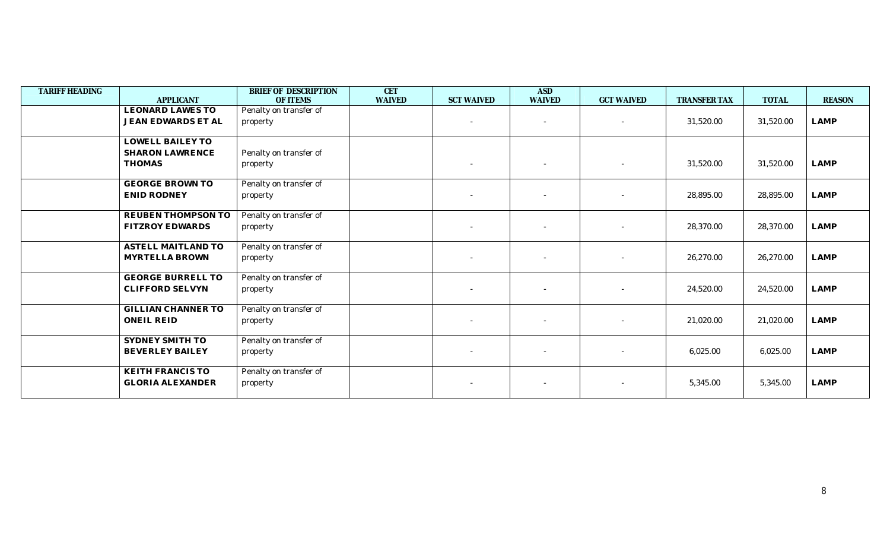| <b>TARIFF HEADING</b> | <b>APPLICANT</b>          | BRIEF OF DESCRIPTION<br>OF ITEMS | <b>CET</b><br><b>WAIVED</b> | <b>SCT WAIVED</b> | <b>ASD</b><br><b>WAIVED</b> | <b>GCT WAIVED</b> | TRANSFER TAX | <b>TOTAL</b> | <b>REASON</b> |
|-----------------------|---------------------------|----------------------------------|-----------------------------|-------------------|-----------------------------|-------------------|--------------|--------------|---------------|
|                       | <b>LEONARD LAWES TO</b>   | Penalty on transfer of           |                             |                   |                             |                   |              |              |               |
|                       | <b>JEAN EDWARDS ET AL</b> | property                         |                             |                   |                             | $\sim$            | 31,520.00    | 31,520.00    | LAMP          |
|                       |                           |                                  |                             |                   |                             |                   |              |              |               |
|                       | <b>LOWELL BAILEY TO</b>   |                                  |                             |                   |                             |                   |              |              |               |
|                       | <b>SHARON LAWRENCE</b>    | Penalty on transfer of           |                             |                   |                             |                   |              |              |               |
|                       | <b>THOMAS</b>             | property                         |                             |                   |                             |                   | 31,520.00    | 31,520.00    | <b>LAMP</b>   |
|                       | <b>GEORGE BROWN TO</b>    | Penalty on transfer of           |                             |                   |                             |                   |              |              |               |
|                       | <b>ENID RODNEY</b>        | property                         |                             |                   |                             | $\sim$            | 28,895.00    | 28,895.00    | <b>LAMP</b>   |
|                       |                           |                                  |                             |                   |                             |                   |              |              |               |
|                       | REUBEN THOMPSON TO        | Penalty on transfer of           |                             |                   |                             |                   |              |              |               |
|                       | <b>FITZROY EDWARDS</b>    | property                         |                             |                   |                             |                   | 28,370.00    | 28,370.00    | LAMP          |
|                       | <b>ASTELL MAITLAND TO</b> | Penalty on transfer of           |                             |                   |                             |                   |              |              |               |
|                       | <b>MYRTELLA BROWN</b>     | property                         |                             |                   |                             |                   | 26,270.00    | 26,270.00    | LAMP          |
|                       |                           |                                  |                             |                   |                             |                   |              |              |               |
|                       | <b>GEORGE BURRELL TO</b>  | Penalty on transfer of           |                             |                   |                             |                   |              |              |               |
|                       | <b>CLIFFORD SELVYN</b>    | property                         |                             |                   |                             |                   | 24,520.00    | 24,520.00    | <b>LAMP</b>   |
|                       |                           |                                  |                             |                   |                             |                   |              |              |               |
|                       | <b>GILLIAN CHANNER TO</b> | Penalty on transfer of           |                             |                   |                             |                   |              |              |               |
|                       | <b>ONEIL REID</b>         | property                         |                             |                   |                             |                   | 21,020.00    | 21,020.00    | LAMP          |
|                       | SYDNEY SMITH TO           | Penalty on transfer of           |                             |                   |                             |                   |              |              |               |
|                       | <b>BEVERLEY BAILEY</b>    | property                         |                             | $\sim$            |                             | $\sim$            | 6,025.00     | 6,025.00     | LAMP          |
|                       |                           |                                  |                             |                   |                             |                   |              |              |               |
|                       | <b>KEITH FRANCIS TO</b>   | Penalty on transfer of           |                             |                   |                             |                   |              |              |               |
|                       | <b>GLORIA ALEXANDER</b>   | property                         |                             |                   |                             |                   | 5,345.00     | 5,345.00     | <b>LAMP</b>   |
|                       |                           |                                  |                             |                   |                             |                   |              |              |               |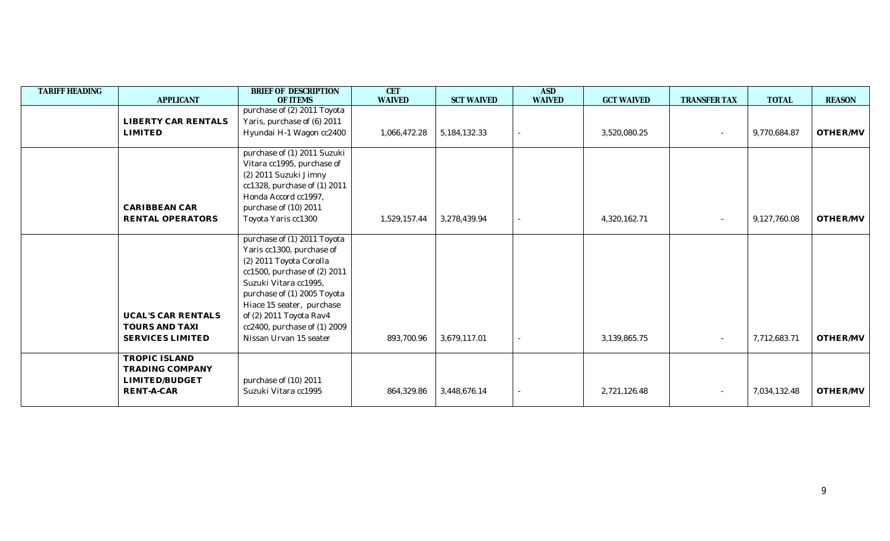| <b>TARIFF HEADING</b> | <b>APPLICANT</b>          | BRIEF OF DESCRIPTION<br>OF ITEMS | <b>CET</b><br><b>WAIVED</b> | <b>SCT WAIVED</b> | <b>ASD</b><br><b>WAIVED</b> | <b>GCT WAIVED</b> | <b>TRANSFER TAX</b> | <b>TOTAL</b> | <b>REASON</b> |
|-----------------------|---------------------------|----------------------------------|-----------------------------|-------------------|-----------------------------|-------------------|---------------------|--------------|---------------|
|                       |                           | purchase of (2) 2011 Toyota      |                             |                   |                             |                   |                     |              |               |
|                       | LIBERTY CAR RENTALS       | Yaris, purchase of (6) 2011      |                             |                   |                             |                   |                     |              |               |
|                       | <b>LIMITED</b>            | Hyundai H-1 Wagon cc2400         | 1,066,472.28                | 5, 184, 132. 33   |                             | 3,520,080.25      |                     | 9,770,684.87 | OTHER/MV      |
|                       |                           |                                  |                             |                   |                             |                   |                     |              |               |
|                       |                           | purchase of (1) 2011 Suzuki      |                             |                   |                             |                   |                     |              |               |
|                       |                           | Vitara cc1995, purchase of       |                             |                   |                             |                   |                     |              |               |
|                       |                           | (2) 2011 Suzuki Jimny            |                             |                   |                             |                   |                     |              |               |
|                       |                           | cc1328, purchase of (1) 2011     |                             |                   |                             |                   |                     |              |               |
|                       |                           | Honda Accord cc1997,             |                             |                   |                             |                   |                     |              |               |
|                       | <b>CARIBBEAN CAR</b>      | purchase of (10) 2011            |                             |                   |                             |                   |                     |              |               |
|                       | RENTAL OPERATORS          | Toyota Yaris cc1300              | 1,529,157.44                | 3,278,439.94      |                             | 4,320,162.71      |                     | 9,127,760.08 | OTHER/MV      |
|                       |                           | purchase of (1) 2011 Toyota      |                             |                   |                             |                   |                     |              |               |
|                       |                           | Yaris cc1300, purchase of        |                             |                   |                             |                   |                     |              |               |
|                       |                           | (2) 2011 Toyota Corolla          |                             |                   |                             |                   |                     |              |               |
|                       |                           | cc1500, purchase of (2) 2011     |                             |                   |                             |                   |                     |              |               |
|                       |                           | Suzuki Vitara cc1995,            |                             |                   |                             |                   |                     |              |               |
|                       |                           | purchase of (1) 2005 Toyota      |                             |                   |                             |                   |                     |              |               |
|                       |                           | Hiace 15 seater, purchase        |                             |                   |                             |                   |                     |              |               |
|                       | <b>UCAL'S CAR RENTALS</b> | of (2) 2011 Toyota Rav4          |                             |                   |                             |                   |                     |              |               |
|                       | <b>TOURS AND TAXI</b>     | cc2400, purchase of (1) 2009     |                             |                   |                             |                   |                     |              |               |
|                       | <b>SERVICES LIMITED</b>   | Nissan Urvan 15 seater           | 893,700.96                  | 3,679,117.01      |                             | 3,139,865.75      |                     | 7,712,683.71 | OTHER/MV      |
|                       | <b>TROPIC ISLAND</b>      |                                  |                             |                   |                             |                   |                     |              |               |
|                       | <b>TRADING COMPANY</b>    |                                  |                             |                   |                             |                   |                     |              |               |
|                       | LIMITED/BUDGET            | purchase of (10) 2011            |                             |                   |                             |                   |                     |              |               |
|                       | RENT-A-CAR                | Suzuki Vitara cc1995             | 864,329.86                  | 3,448,676.14      |                             | 2,721,126.48      |                     | 7,034,132.48 | OTHER/MV      |
|                       |                           |                                  |                             |                   |                             |                   |                     |              |               |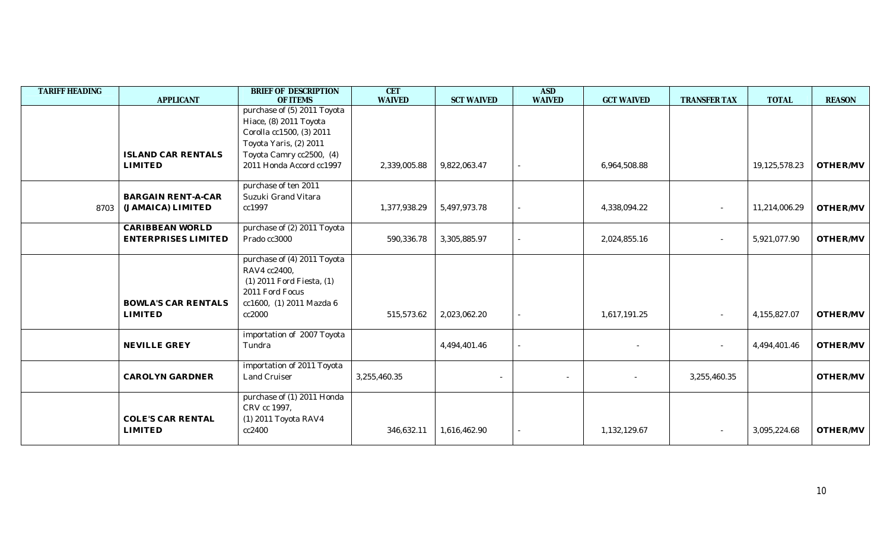| <b>TARIFF HEADING</b> | <b>APPLICANT</b>           | <b>BRIEF OF DESCRIPTION</b><br>OF ITEMS     | <b>CET</b><br><b>WAIVED</b> |                   | <b>ASD</b><br><b>WAIVED</b> | <b>GCT WAIVED</b> | <b>TRANSFER TAX</b>      | <b>TOTAL</b>  | <b>REASON</b> |
|-----------------------|----------------------------|---------------------------------------------|-----------------------------|-------------------|-----------------------------|-------------------|--------------------------|---------------|---------------|
|                       |                            | purchase of (5) 2011 Toyota                 |                             | <b>SCT WAIVED</b> |                             |                   |                          |               |               |
|                       |                            | Hiace, (8) 2011 Toyota                      |                             |                   |                             |                   |                          |               |               |
|                       |                            | Corolla cc1500, (3) 2011                    |                             |                   |                             |                   |                          |               |               |
|                       |                            | Toyota Yaris, (2) 2011                      |                             |                   |                             |                   |                          |               |               |
|                       | <b>ISLAND CAR RENTALS</b>  | Toyota Camry cc2500, (4)                    |                             |                   |                             |                   |                          |               |               |
|                       | <b>LIMITED</b>             | 2011 Honda Accord cc1997                    | 2,339,005.88                | 9,822,063.47      |                             | 6,964,508.88      |                          | 19,125,578.23 | OTHER/MV      |
|                       |                            | purchase of ten 2011                        |                             |                   |                             |                   |                          |               |               |
|                       | <b>BARGAIN RENT-A-CAR</b>  | Suzuki Grand Vitara                         |                             |                   |                             |                   |                          |               |               |
| 8703                  | (JAMAICA) LIMITED          | cc1997                                      | 1,377,938.29                | 5,497,973.78      |                             | 4,338,094.22      |                          | 11,214,006.29 | OTHER/MV      |
|                       | <b>CARIBBEAN WORLD</b>     | purchase of (2) 2011 Toyota                 |                             |                   |                             |                   |                          |               |               |
|                       | <b>ENTERPRISES LIMITED</b> | Prado cc3000                                | 590,336.78                  | 3,305,885.97      |                             | 2,024,855.16      | $\overline{\phantom{a}}$ | 5,921,077.90  | OTHER/MV      |
|                       |                            | purchase of (4) 2011 Toyota                 |                             |                   |                             |                   |                          |               |               |
|                       |                            | RAV4 cc2400,                                |                             |                   |                             |                   |                          |               |               |
|                       |                            | $(1)$ 2011 Ford Fiesta, $(1)$               |                             |                   |                             |                   |                          |               |               |
|                       | <b>BOWLA'S CAR RENTALS</b> | 2011 Ford Focus<br>cc1600, (1) 2011 Mazda 6 |                             |                   |                             |                   |                          |               |               |
|                       | <b>LIMITED</b>             | cc2000                                      | 515,573.62                  | 2,023,062.20      |                             | 1,617,191.25      |                          | 4,155,827.07  | OTHER/MV      |
|                       |                            |                                             |                             |                   |                             |                   |                          |               |               |
|                       |                            | importation of 2007 Toyota                  |                             |                   |                             |                   |                          |               |               |
|                       | NEVILLE GREY               | Tundra                                      |                             | 4,494,401.46      |                             |                   | $\overline{\phantom{a}}$ | 4,494,401.46  | OTHER/MV      |
|                       |                            | importation of 2011 Toyota                  |                             |                   |                             |                   |                          |               |               |
|                       | <b>CAROLYN GARDNER</b>     | <b>Land Cruiser</b>                         | 3,255,460.35                |                   | $\sim$                      |                   | 3,255,460.35             |               | OTHER/MV      |
|                       |                            | purchase of (1) 2011 Honda                  |                             |                   |                             |                   |                          |               |               |
|                       |                            | CRV cc 1997,                                |                             |                   |                             |                   |                          |               |               |
|                       | <b>COLE'S CAR RENTAL</b>   | (1) 2011 Toyota RAV4                        |                             |                   |                             |                   |                          |               |               |
|                       | <b>LIMITED</b>             | cc2400                                      | 346,632.11                  | 1,616,462.90      |                             | 1,132,129.67      |                          | 3,095,224.68  | OTHER/MV      |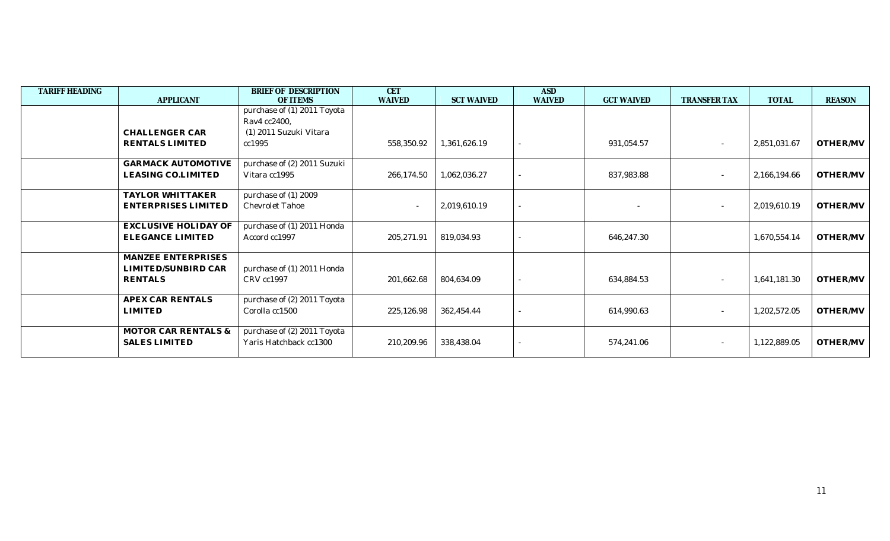| <b>TARIFF HEADING</b> |                             | BRIEF OF DESCRIPTION        | <b>CET</b>    |                   | <b>ASD</b>               |                   |                          |              |               |
|-----------------------|-----------------------------|-----------------------------|---------------|-------------------|--------------------------|-------------------|--------------------------|--------------|---------------|
|                       | <b>APPLICANT</b>            | <b>OF ITEMS</b>             | <b>WAIVED</b> | <b>SCT WAIVED</b> | <b>WAIVED</b>            | <b>GCT WAIVED</b> | <b>TRANSFER TAX</b>      | <b>TOTAL</b> | <b>REASON</b> |
|                       |                             | purchase of (1) 2011 Toyota |               |                   |                          |                   |                          |              |               |
|                       |                             | Rav4 cc2400,                |               |                   |                          |                   |                          |              |               |
|                       | CHALLENGER CAR              | (1) 2011 Suzuki Vitara      |               |                   |                          |                   |                          |              |               |
|                       | RENTALS LIMITED             | cc1995                      | 558,350.92    | 1,361,626.19      | $\sim$                   | 931,054.57        | $\sim$                   | 2,851,031.67 | OTHER/MV      |
|                       | <b>GARMACK AUTOMOTIVE</b>   | purchase of (2) 2011 Suzuki |               |                   |                          |                   |                          |              |               |
|                       | LEASING CO.LIMITED          | Vitara cc1995               | 266,174.50    | 1,062,036.27      |                          | 837,983.88        | $\sim$                   | 2,166,194.66 | OTHER/MV      |
|                       | TAYLOR WHITTAKER            | purchase of (1) 2009        |               |                   |                          |                   |                          |              |               |
|                       | ENTERPRISES LIMITED         | <b>Chevrolet Tahoe</b>      |               | 2,019,610.19      | $\overline{\phantom{a}}$ |                   | $\overline{\phantom{a}}$ | 2,019,610.19 | OTHER/MV      |
|                       | <b>EXCLUSIVE HOLIDAY OF</b> | purchase of (1) 2011 Honda  |               |                   |                          |                   |                          |              |               |
|                       | <b>ELEGANCE LIMITED</b>     | Accord cc1997               | 205,271.91    | 819,034.93        | $\overline{\phantom{a}}$ | 646,247.30        |                          | 1,670,554.14 | OTHER/MV      |
|                       | MANZEE ENTERPRISES          |                             |               |                   |                          |                   |                          |              |               |
|                       | LIMITED/SUNBIRD CAR         | purchase of (1) 2011 Honda  |               |                   |                          |                   |                          |              |               |
|                       | <b>RENTALS</b>              | CRV cc1997                  | 201,662.68    | 804,634.09        | $\sim$                   | 634,884.53        | $\sim$                   | 1,641,181.30 | OTHER/MV      |
|                       | <b>APEX CAR RENTALS</b>     | purchase of (2) 2011 Toyota |               |                   |                          |                   |                          |              |               |
|                       | <b>LIMITED</b>              | Corolla cc1500              | 225,126.98    | 362,454.44        | $\overline{\phantom{a}}$ | 614,990.63        | $\sim$                   | 1,202,572.05 | OTHER/MV      |
|                       | MOTOR CAR RENTALS &         | purchase of (2) 2011 Toyota |               |                   |                          |                   |                          |              |               |
|                       | <b>SALES LIMITED</b>        | Yaris Hatchback cc1300      | 210,209.96    | 338,438.04        |                          | 574,241.06        |                          | 1,122,889.05 | OTHER/MV      |
|                       |                             |                             |               |                   |                          |                   |                          |              |               |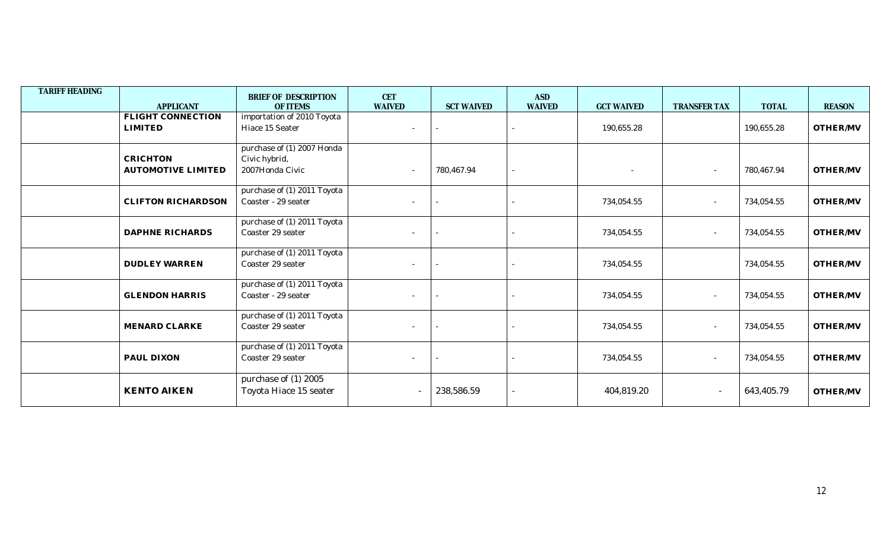| <b>TARIFF HEADING</b> | <b>APPLICANT</b>                             | BRIEF OF DESCRIPTION<br><b>OF ITEMS</b>                        | <b>CET</b><br><b>WAIVED</b> | <b>SCT WAIVED</b> | <b>ASD</b><br><b>WAIVED</b> | <b>GCT WAIVED</b> | <b>TRANSFER TAX</b>      | <b>TOTAL</b> | <b>REASON</b>   |
|-----------------------|----------------------------------------------|----------------------------------------------------------------|-----------------------------|-------------------|-----------------------------|-------------------|--------------------------|--------------|-----------------|
|                       | FLIGHT CONNECTION<br><b>LIMITED</b>          | importation of 2010 Toyota<br>Hiace 15 Seater                  |                             |                   |                             | 190,655.28        |                          | 190,655.28   | OTHER/MV        |
|                       | <b>CRICHTON</b><br><b>AUTOMOTIVE LIMITED</b> | purchase of (1) 2007 Honda<br>Civic hybrid,<br>2007Honda Civic | $\overline{\phantom{a}}$    | 780,467.94        | $\sim$                      |                   |                          | 780,467.94   | OTHER/MV        |
|                       | <b>CLIFTON RICHARDSON</b>                    | purchase of (1) 2011 Toyota<br>Coaster - 29 seater             | $\overline{\phantom{a}}$    |                   |                             | 734,054.55        | $\overline{\phantom{a}}$ | 734,054.55   | <b>OTHER/MV</b> |
|                       | <b>DAPHNE RICHARDS</b>                       | purchase of (1) 2011 Toyota<br>Coaster 29 seater               | $\overline{\phantom{a}}$    |                   | $\sim$                      | 734,054.55        | $\overline{\phantom{a}}$ | 734,054.55   | OTHER/MV        |
|                       | <b>DUDLEY WARREN</b>                         | purchase of (1) 2011 Toyota<br>Coaster 29 seater               | $\sim$                      |                   |                             | 734,054.55        |                          | 734,054.55   | OTHER/MV        |
|                       | <b>GLENDON HARRIS</b>                        | purchase of (1) 2011 Toyota<br>Coaster - 29 seater             |                             |                   |                             | 734,054.55        |                          | 734,054.55   | OTHER/MV        |
|                       | MENARD CLARKE                                | purchase of (1) 2011 Toyota<br>Coaster 29 seater               | $\sim$                      |                   | $\sim$                      | 734,054.55        |                          | 734,054.55   | OTHER/MV        |
|                       | PAUL DIXON                                   | purchase of (1) 2011 Toyota<br>Coaster 29 seater               | $\sim$                      |                   |                             | 734,054.55        | $\overline{\phantom{a}}$ | 734,054.55   | OTHER/MV        |
|                       | <b>KENTO AIKEN</b>                           | purchase of (1) 2005<br>Toyota Hiace 15 seater                 |                             | 238,586.59        | ÷.                          | 404,819.20        | $\overline{\phantom{a}}$ | 643,405.79   | OTHER/MV        |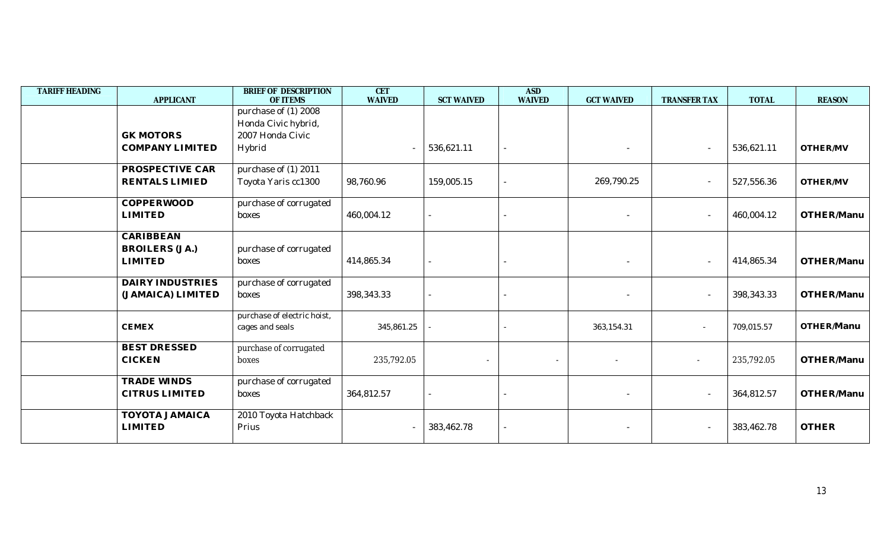| <b>TARIFF HEADING</b> | <b>APPLICANT</b>        | <b>BRIEF OF DESCRIPTION</b><br><b>OF ITEMS</b> | <b>CET</b><br><b>WAIVED</b> | <b>SCT WAIVED</b>        | <b>ASD</b><br><b>WAIVED</b> | <b>GCT WAIVED</b>        | TRANSFER TAX             | <b>TOTAL</b> | <b>REASON</b> |
|-----------------------|-------------------------|------------------------------------------------|-----------------------------|--------------------------|-----------------------------|--------------------------|--------------------------|--------------|---------------|
|                       |                         | purchase of (1) 2008                           |                             |                          |                             |                          |                          |              |               |
|                       |                         | Honda Civic hybrid,                            |                             |                          |                             |                          |                          |              |               |
|                       | <b>GK MOTORS</b>        | 2007 Honda Civic                               |                             |                          |                             |                          |                          |              |               |
|                       | <b>COMPANY LIMITED</b>  | Hybrid                                         | $\overline{\phantom{a}}$    | 536,621.11               |                             | $\sim$                   | $\sim$                   | 536,621.11   | OTHER/MV      |
|                       | PROSPECTIVE CAR         | purchase of (1) $2011$                         |                             |                          |                             |                          |                          |              |               |
|                       | <b>RENTALS LIMIED</b>   | Toyota Yaris cc1300                            | 98,760.96                   | 159,005.15               |                             | 269,790.25               | $\sim$                   | 527,556.36   | OTHER/MV      |
|                       | <b>COPPERWOOD</b>       | purchase of corrugated                         |                             |                          |                             |                          |                          |              |               |
|                       | <b>LIMITED</b>          | boxes                                          | 460,004.12                  |                          |                             | $\sim$                   | $\overline{\phantom{a}}$ | 460,004.12   | OTHER/Manu    |
|                       | <b>CARIBBEAN</b>        |                                                |                             |                          |                             |                          |                          |              |               |
|                       | <b>BROILERS (JA.)</b>   | purchase of corrugated                         |                             |                          |                             |                          |                          |              |               |
|                       | <b>LIMITED</b>          | boxes                                          | 414,865.34                  |                          |                             |                          | $\sim$                   | 414,865.34   | OTHER/Manu    |
|                       | <b>DAIRY INDUSTRIES</b> | purchase of corrugated                         |                             |                          |                             |                          |                          |              |               |
|                       | (JAMAICA) LIMITED       | boxes                                          | 398,343.33                  |                          |                             |                          | $\overline{\phantom{a}}$ | 398,343.33   | OTHER/Manu    |
|                       |                         | purchase of electric hoist,                    |                             |                          |                             |                          |                          |              |               |
|                       | <b>CEMEX</b>            | cages and seals                                | 345,861.25                  |                          |                             | 363,154.31               | $\sim$                   | 709,015.57   | OTHER/Manu    |
|                       | <b>BEST DRESSED</b>     | purchase of corrugated                         |                             |                          |                             |                          |                          |              |               |
|                       | <b>CICKEN</b>           | boxes                                          | 235,792.05                  | $\overline{\phantom{a}}$ | $\overline{\phantom{a}}$    | $\overline{\phantom{a}}$ | $\sim$                   | 235,792.05   | OTHER/Manu    |
|                       | TRADE WINDS             | purchase of corrugated                         |                             |                          |                             |                          |                          |              |               |
|                       | <b>CITRUS LIMITED</b>   | boxes                                          | 364,812.57                  |                          |                             |                          | $\overline{\phantom{a}}$ | 364,812.57   | OTHER/Manu    |
|                       | <b>TOYOTA JAMAICA</b>   | 2010 Toyota Hatchback                          |                             |                          |                             |                          |                          |              |               |
|                       | <b>LIMITED</b>          | Prius                                          |                             | 383,462.78               |                             |                          | $\sim$                   | 383,462.78   | <b>OTHER</b>  |
|                       |                         |                                                |                             |                          |                             |                          |                          |              |               |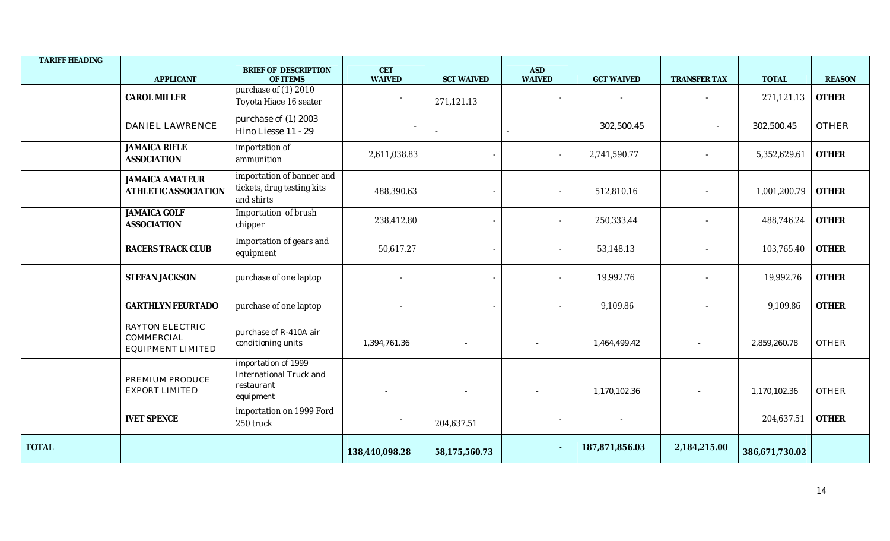| <b>TARIFF HEADING</b> |                                                                         |                                                                                  |                             |                          |                             |                   |                     |                |               |
|-----------------------|-------------------------------------------------------------------------|----------------------------------------------------------------------------------|-----------------------------|--------------------------|-----------------------------|-------------------|---------------------|----------------|---------------|
|                       | <b>APPLICANT</b>                                                        | BRIEF OF DESCRIPTION<br>OF ITEMS                                                 | <b>CET</b><br><b>WAIVED</b> | <b>SCT WAIVED</b>        | <b>ASD</b><br><b>WAIVED</b> | <b>GCT WAIVED</b> | <b>TRANSFER TAX</b> | <b>TOTAL</b>   | <b>REASON</b> |
|                       | <b>CAROL MILLER</b>                                                     | purchase of (1) 2010<br>Toyota Hiace 16 seater                                   |                             | 271,121.13               | $\sim$                      |                   |                     | 271,121.13     | <b>OTHER</b>  |
|                       | <b>DANIEL LAWRENCE</b>                                                  | purchase of (1) 2003<br>Hino Liesse 11 - 29                                      | $\overline{\phantom{a}}$    |                          |                             | 302,500.45        |                     | 302,500.45     | <b>OTHER</b>  |
|                       | <b>JAMAICA RIFLE</b><br><b>ASSOCIATION</b>                              | importation of<br>ammunition                                                     | 2,611,038.83                |                          | $\overline{\phantom{a}}$    | 2,741,590.77      |                     | 5,352,629.61   | <b>OTHER</b>  |
|                       | <b>JAMAICA AMATEUR</b><br><b>ATHLETIC ASSOCIATION</b>                   | importation of banner and<br>tickets, drug testing kits<br>and shirts            | 488,390.63                  |                          |                             | 512,810.16        |                     | 1,001,200.79   | <b>OTHER</b>  |
|                       | <b>JAMAICA GOLF</b><br><b>ASSOCIATION</b>                               | Importation of brush<br>chipper                                                  | 238,412.80                  |                          | $\sim$                      | 250,333.44        |                     | 488,746.24     | <b>OTHER</b>  |
|                       | <b>RACERS TRACK CLUB</b>                                                | Importation of gears and<br>equipment                                            | 50,617.27                   |                          |                             | 53,148.13         |                     | 103,765.40     | <b>OTHER</b>  |
|                       | STEFAN JACKSON                                                          | purchase of one laptop                                                           |                             |                          |                             | 19,992.76         |                     | 19,992.76      | <b>OTHER</b>  |
|                       | <b>GARTHLYN FEURTADO</b>                                                | purchase of one laptop                                                           |                             |                          |                             | 9,109.86          |                     | 9,109.86       | <b>OTHER</b>  |
|                       | <b>RAYTON ELECTRIC</b><br><b>COMMERCIAL</b><br><b>EQUIPMENT LIMITED</b> | purchase of R-410A air<br>conditioning units                                     | 1,394,761.36                | $\overline{\phantom{a}}$ |                             | 1,464,499.42      |                     | 2,859,260.78   | <b>OTHER</b>  |
|                       | PREMIUM PRODUCE<br><b>EXPORT LIMITED</b>                                | importation of 1999<br><b>International Truck and</b><br>restaurant<br>equipment |                             |                          |                             | 1,170,102.36      |                     | 1,170,102.36   | <b>OTHER</b>  |
|                       | <b>IVET SPENCE</b>                                                      | importation on 1999 Ford<br>250 truck                                            |                             | 204,637.51               |                             |                   |                     | 204,637.51     | <b>OTHER</b>  |
| <b>TOTAL</b>          |                                                                         |                                                                                  | 138,440,098.28              | 58,175,560.73            |                             | 187,871,856.03    | 2,184,215.00        | 386,671,730.02 |               |